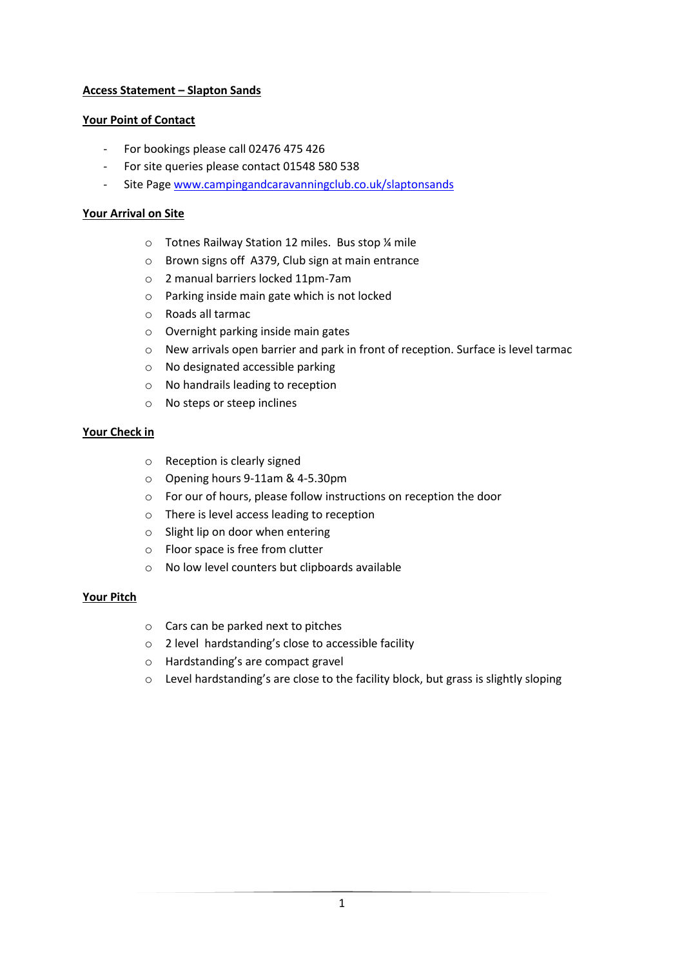# **Access Statement – Slapton Sands**

# **Your Point of Contact**

- For bookings please call 02476 475 426
- For site queries please contact 01548 580 538
- Site Page [www.campingandcaravanningclub.co.uk/slaptonsands](http://www.campingandcaravanningclub.co.uk/slaptonsands)

# **Your Arrival on Site**

- o Totnes Railway Station 12 miles. Bus stop ¼ mile
- o Brown signs off A379, Club sign at main entrance
- o 2 manual barriers locked 11pm-7am
- o Parking inside main gate which is not locked
- o Roads all tarmac
- o Overnight parking inside main gates
- o New arrivals open barrier and park in front of reception. Surface is level tarmac
- o No designated accessible parking
- o No handrails leading to reception
- o No steps or steep inclines

# **Your Check in**

- o Reception is clearly signed
- o Opening hours 9-11am & 4-5.30pm
- o For our of hours, please follow instructions on reception the door
- o There is level access leading to reception
- o Slight lip on door when entering
- o Floor space is free from clutter
- o No low level counters but clipboards available

### **Your Pitch**

- o Cars can be parked next to pitches
- o 2 level hardstanding's close to accessible facility
- o Hardstanding's are compact gravel
- o Level hardstanding's are close to the facility block, but grass is slightly sloping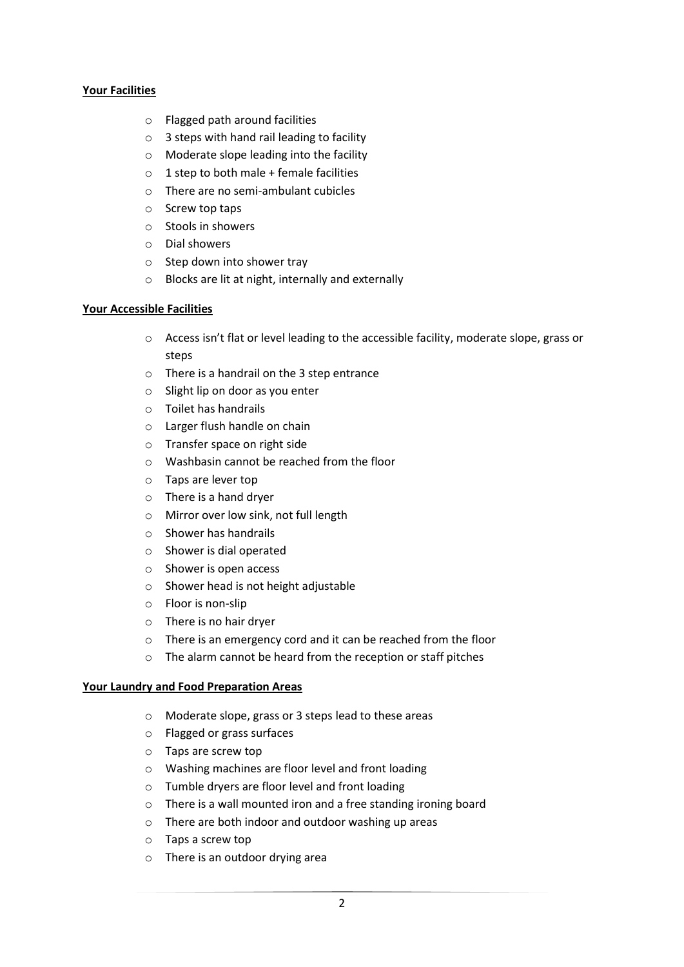### **Your Facilities**

- o Flagged path around facilities
- o 3 steps with hand rail leading to facility
- o Moderate slope leading into the facility
- $\circ$  1 step to both male + female facilities
- o There are no semi-ambulant cubicles
- o Screw top taps
- o Stools in showers
- o Dial showers
- o Step down into shower tray
- o Blocks are lit at night, internally and externally

### **Your Accessible Facilities**

- o Access isn't flat or level leading to the accessible facility, moderate slope, grass or steps
- o There is a handrail on the 3 step entrance
- o Slight lip on door as you enter
- o Toilet has handrails
- o Larger flush handle on chain
- o Transfer space on right side
- o Washbasin cannot be reached from the floor
- o Taps are lever top
- o There is a hand dryer
- o Mirror over low sink, not full length
- o Shower has handrails
- o Shower is dial operated
- o Shower is open access
- o Shower head is not height adjustable
- o Floor is non-slip
- o There is no hair dryer
- o There is an emergency cord and it can be reached from the floor
- o The alarm cannot be heard from the reception or staff pitches

### **Your Laundry and Food Preparation Areas**

- o Moderate slope, grass or 3 steps lead to these areas
- o Flagged or grass surfaces
- o Taps are screw top
- o Washing machines are floor level and front loading
- o Tumble dryers are floor level and front loading
- o There is a wall mounted iron and a free standing ironing board
- o There are both indoor and outdoor washing up areas
- o Taps a screw top
- o There is an outdoor drying area